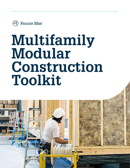

# **Multifamily Modular Construction Toolkit**

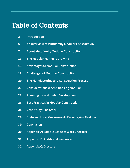## **Table of Contents**

|   | <b>Introduction</b> |  |
|---|---------------------|--|
| 3 |                     |  |
|   |                     |  |

- **An Overview of Multifamily Modular Construction**
- **About Multifamily Modular Construction**
- **The Modular Market Is Growing**
- **Advantages to Modular Construction**
- **Challenges of Modular Construction**
- **The Manufacturing and Construction Process**
- **Considerations When Choosing Modular**
- **Planning for a Modular Development**
- **Best Practices in Modular Construction**
- **Case Study: The Stack**
- **State and Local Governments Encouraging Modular**
- **Conclusion**
- **Appendix A: Sample Scope of Work Checklist**
- **Appendix B: Additional Resources**
- **Appendix C: Glossary**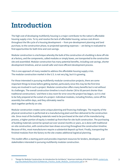## **Introduction**

The high cost of developing multifamily housing is a major contributor to the nation's affordable housing supply crisis. To try and resolve the lack of affordable housing, various cost drivers throughout the life cycle of a housing development — from pre-development planning and land purchase, to the construction phase, to projected operating expenses — are being re-evaluated to find opportunities for both time and cost savings.

Modular construction is a technique whereby the bulk of the construction of a building is done off-site at a factory, and the components, called modules or simply boxes, are transported to the construction site and assembled. Modular construction has many potential benefits, including cost savings, shorter development timelines, and an overall safer and more efficient development process.

This is one approach of many needed to address the affordable housing supply crisis. The modular construction market in the U.S. is not very big, but it is growing.

For those interested in pursuing multifamily modular construction projects, there are some important things to know before getting started, particularly since this may be the first time many are involved in such a project. Modular construction offers many benefits but is not without its challenges. The overall construction timeline is much shorter (30 to 50 percent shorter than traditional construction),<sup>1</sup> and there is less room for error once the project has begun, so it is vital to be fully prepared at the outset of a project. Individual modules, including finishes, come off the assembly line within days, and they ultimately need to stack together perfectly on-site.

Modular construction creates some unique planning and financing challenges. The majority of the physical construction is performed at a manufacturing plant and then delivered to the construction site. Since most of the building materials need to be purchased at the start of the manufacturing process, a higher portion of equity is needed up front than for site-built construction. The purchasing of building materials cannot be spread out over several months or years, as is done with traditional on-site construction, with construction loan draws occurring throughout the construction timeline. Because of this, most manufacturers require a substantial deposit up front. Finally, transporting the finished modules from the factory to the site creates additional logistical planning.

This toolkit offers a starting point and provides important resources for lenders, developers, and stakeholders interested in pursuing multifamily modular construction.

<sup>1 &</sup>quot;Design for Modular Construction: An Introduction for Architects," American Institute of Architects (2019), content.aia. org/sites/default/files/2019-03/Materials\_Practice\_Guide\_Modular\_Construction.pdf, p. 14.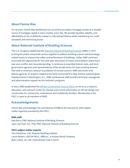## **About Fannie Mae**

For 30 years, Fannie Mae Multifamily has served the secondary mortgage market as a reliable source of mortgage capital in every market, every day. We provide liquidity, stability, and affordability to the multifamily market in a disciplined fashion while maintaining our credit standards and minimizing losses.

## **About National Institute of Building Sciences**

The U.S. Congress established the National Institute of Building Sciences (NIBS) in 1974 to bring the public and private sectors together to address building science and technologyrelated issues to improve the safety and performance of buildings. Today, NIBS continues to provide the opportunity for free and open discussion of issues and problems where there was once conflict and misunderstanding. It continues to assemble federal, state, and local government agencies and representatives of the private sector for open working sessions that seek a consensus solution to problems of mutual concern. NIBS also works with federal agencies on projects related to the built environment to help achieve national goals. Headquartered in Washington, D.C., NIBS' professional staff provides technical, managerial, and administrative support for the Institute's programs.

In 2013, NIBS established the Off-Site Construction Council (OSCC) to serve as a research, education, and outreach center for relevant and current information on off-site design and construction for commercial, institutional, and multifamily facilities. Membership in the OSCC is open to all members of NIBS.

## **Acknowledgements**

Fannie Mae acknowledges the contribution of NIBS to this document, with subject matter expertise provided by the OSCC:

#### **NIBS staff:**

Kyle Barry, PMP, National Institute of Building Sciences Jiqui (JQ) Yuan, P.E., PhD, PMP, National Institute of Building Sciences

### **OSCC subject matter experts:**

Tom Hardiman, CAE, Modular Building Institute Laurie Robert, LEED AP BD+C, NRB Inc., a Horizon North Company Ryan Colker, JD, CAE, International Code Council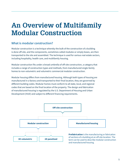## **An Overview of Multifamily Modular Construction**

## **What is modular construction?**

Modular construction is a technique whereby the bulk of the construction of a building is done off-site, and the components, sometimes called modules or simply boxes, are then transported to the site and assembled. The technique is used for various real estate sectors, including hospitality, health care, and multifamily housing.

Modular construction fits under a broad umbrella of off-site construction, a category that includes a range of construction types and methods, from manufactured single-family homes to non-volumetric and volumetric commercial modular construction.

Modular housing differs from manufactured housing. Although both types of housing are manufactured in a factory and transported to their final location, they are governed by different building codes. Modular homes must conform to all state, local, and regional codes that are based on the final location of the property. The design and fabrication of manufactured housing is regulated by the U.S. Department of Housing and Urban Development (HUD) and subject to different financing requirements.

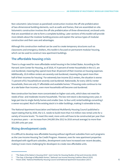Non-volumetric (also known as panelized) construction involves the off-site prefabrication of two-dimensional building elements, such as walls and frames, that are assembled on-site. Volumetric construction involves the off-site prefabrication of three-dimensional, enclosed units that are assembled on-site to form a complete building. Later sections of this toolkit will provide more details about the modular building process and explain the various types of modular construction and their uses and advantages.

Although this construction method can be used to create temporary structures such as classrooms and emergency shelters, this toolkit is focused on permanent modular housing, which can be used to construct new apartment buildings.

## **The affordable housing crisis**

There is a huge need for more affordable rental housing in the United States. According to the Harvard Joint Center for Housing, as of 2018, 47.4 percent of renter households in the U.S. are cost-burdened, meaning they spend more than 30 percent of their incomes on housing expenses. Additionally, 10.8 million renters are severely cost-burdened, meaning they spent more than half of their incomes for housing.<sup>2</sup> For extremely low-income (ELI) renters, the situation is worse: 71 percent of ELI household are severely cost-burdened. Nationwide, for every 100 ELI renter households, there are only 37 affordable and available homes.<sup>3</sup> If housing costs continue to rise at a rate faster than incomes, even more households will become cost-burdened.

New construction has been more concentrated on higher-cost units, which does not meet the needs of low- and moderate-income households. The low-rent stock is decreasing every year, in large part due to single-family homes and smaller (two- to four-unit) rental buildings converting t o owner-occupied. Much of the existing stock is in older buildings, making it vulnerable to loss.

The National Apartment Association and National Multifamily Housing Council published a report stating that by 2030, the U.S. needs to build more than 4.6 million new rental units for a variety of income levels.<sup>4</sup> To meet this need, more units will have to be constructed per year than in previous years — an increase from 244,000 (the 2012 to 2016 annual average) to more than 325,000 units per year.

## **Rising development costs**

It is difficult to develop new affordable housing without significant subsidies from such programs as the Low-Income Housing Tax Credit Program. However, even for new apartment properties developed with significant subsidies, development costs have increased over recent decades, making it even more challenging for developers to create new affordable units.

<sup>2 &</sup>quot;The State of the Nation's Housing 2019," Joint Center for Housing Studies of Harvard University (2019)*.* 

<sup>3 &</sup>quot;The Gap: A Shortage of Affordable Homes," National Low Income Housing Coalition (March 2019)*.*

<sup>4 &</sup>quot;Vision 2030," National Multifamily Housing Council and National Apartment Association (2017)*.*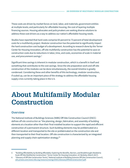These costs are driven by market forces on land, labor, and materials; government entities at multiple levels; and particularly for affordable housing, the cost of layering multiple financing sources. Housing advocates and policymakers are seeking diverse solutions to address these cost drivers as a way to address our nation's affordable housing needs.

Studies have reported that hard costs comprise 65 percent to 73 percent of total development costs for a multifamily project. Modular construction has the potential to significantly impact the hard construction cost budget of a development. According to research done by the Terner Center for Housing Innovation, off-site multifamily construction has the potential to save on construction costs due to reductions in labor, time, and costs, economies of scale in material use, and procurement savings.<sup>5</sup>

Significant time savings is inherent in modular construction, which is a benefit in itself and something that contributes to the cost savings. Since the site preparation work and off-site construction of the modules can be done simultaneously, the overall timeline is greatly condensed. Considering these and other benefits of this technology, modular construction, if scaled up, can be an important piece of the strategy to address the affordable housing supply crisis currently taking place in the U.S.

## **About Multifamily Modular Construction**

### **Overview**

The National Institute of Buildings Sciences (NIBS) Off-Site Construction Council (OSCC) defines *off-site construction* as "the planning, design, fabrication, and assembly of building elements at a location other than their final installed location to support the rapid and efficient construction of a permanent structure. Such building elements may be prefabricated at a different location and transported to the site or prefabricated on the construction site and then transported to their final location. Off-site construction is characterized by an integrated planning and supply chain optimization strategy."<sup>6</sup>

<sup>5 &</sup>quot;Building Affordability by Building Affordably: Exploring the Benefits, Barriers, and Breakthroughs Needed to Scale Off-Site Multifamily Construction," Terner Center for Housing Innovation, UC Berkeley (March 2017)*.* 

<sup>6 &</sup>quot;Glossary of Off-Site Construction Terms," National Institute of Building Sciences Off-Site Construction Council, cdn.ymaws.com/www.nibs.org/resource/resmgr/OSCC/GlossaryOffSiteConstructionT.pdf.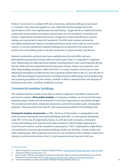*Modular construction* is a subset of off-site construction, whereby buildings are produced in "modules" that, when put together on-site, reflect the identical design intent and specifications of the most sophisticated site-built facility.<sup>7</sup> Single-family or multifamily homes constructed using modular techniques and processes are not considered "manufactured homes." Single-family manufactured homes, though also constructed off-site in a factory setting, are constructed to meet HUD standards. The HUD code includes construction and safety standards and requires manufactured homes to be constructed on a permanent chassis. In contrast, permanent modular buildings are constructed to the same local construction and building codes as all other properties in a given locality's jurisdiction.

Modular construction practices have been available since the mid-1800s, with prefabricated housing products being made and sold as part of the U.S. population's migration west. Additionally, pre-fabricated and modular housing products were used frequently during the late 1950s and were expanded beyond housing to schools, health care properties, and other large buildings during the 1960s and 1970s.<sup>8</sup> Currently, modular construction is used extensively throughout Europe and has seen a growing market share in the U.S. over the last 10 years. With technological improvements, including computer aided design and manufacturing and a growing acceptance by the industry, modular is likely to expand further into all types of building construction, including multifamily housing.

## **Commercial modular buildings**

The modular industry consists of two distinct industry segments: relocatable modular and permanent modular.<sup>9</sup> **Relocatable modular**, or temporary modular, are structures that meet temporary space needs and can be leased in a short-term agreement or purchased outright. This include job site trailers, temporary classrooms, and communication pods, among other products. These structures have specific code requirements outlined in the building code.

**Permanent modular construction**, or PMC, the focus of this toolkit, is comparable to sitebuilt structures meeting the International Building Code (IBC), or International Residential Code (IRC) in the case of single-family homes. As with site-built structures, a modularly constructed building must meet the local codes of where it will be located, depreciate in much the same manner, and be classified as real property.<sup>10</sup> PMC is deployed for single-family and multifamily structures, government buildings, health care facilities, schools, hotels, and other building types. PMC production accounts for over 50 percent of the modular construction industry in commercial markets in the U.S. and represents about 4 percent of all new

<sup>7 &</sup>quot;What is Modular Construction?" Modular Building Institute, modular.org/HtmlPage.aspx?name=why\_modular.

<sup>8 &</sup>quot;Design for Modular Construction," p. 4.

<sup>9</sup> Ryan E. Smith, "Off-Site and Modular Construction Explained," National Institute of Building Sciences Off-Site Construction Council (August 2016), wbdg.org/resources/site-and-modular-construction-explained.

<sup>10</sup> "Permanent Modular Construction Report," Modular Building Institute (2019), p. 5.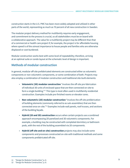construction starts in the U.S. PMC has been more widely adopted and utilized in other parts of the world, representing as much as 70 percent of all new construction in Sweden.

The modular project delivery method for multifamily requires early engagement, and commitment to the process is crucial, so all stakeholders must be on board with a collaborative approach. The value for a multifamily project may be different than that of a commercial or health care project if, for example, the project is for affordable housing where speed is of the utmost importance to house people and families who are otherwise displaced or cost-burdened.

Modular construction works best with some level of repeatability; therefore, arriving at an optimal suite or condo layout at the schematic level of design is important.

## **Methods of modular construction**

In general, modular off-site prefabricated elements are constructed either as volumetric components or non-volumetric components, or some combination of both. Projects may also employ a combination of modular construction and traditional site-built elements:

- **Volumetric (3D) modular construction** "involves the off-site pre-fabrication of individual 3D units of enclosed space that are then connected on-site to form a single building."<sup>11</sup> This type is most often used in multifamily residential construction. Examples include pre-finished rooms or elevator cores.
- **Non-volumetric (2D) modular construction** "involves the off-site prefabrication of building elements (commonly referred to as sub-assemblies) that are then connected once on-site."<sup>12</sup> Examples include wall panels, roof trusses, and sections of the building façade.
- **Hybrid (2D and 3D) construction** occurs when certain projects use a combined approach encompassing 2D panelized and 3D volumetric components. For example, a building may be constructed with completed dormitory or bathroom pods, with the rest of the building assembled via 2D components.
- **Hybrid (off-site and on-site) construction** projects may also include some components and processes constructed on-site with traditional methods and some components prefabricated off-site.

<sup>11</sup> "Design for Modular Construction," p. 8.

<sup>12</sup> "Design for Modular Construction," p. 8.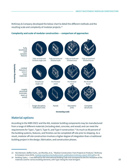McKinsey & Company developed the below chart to detail the different methods and the resulting scale and complexity of modular projects.<sup>13</sup>

#### Fully functional with complex fixtures Fully serviced and Fully serviced and Fully serviced and Fully serviced and finished single unit finished walls finished room finished house Increasing complexity **Increasing complexity** Limited fixtures in one or more materials Pre-finished **Transitional** Pre-finished Pre-finished single unit panel room house Largely structural (concrete, steel, or wood) Single discipline, Panels Volumetric Complete individual units structures units

#### **Complexity and scale of modular construction — comparison of approaches**

**Increasing scale**

## **Material options**

According to the NIBS OSCC and the AIA, modular building components may be manufactured from a range of different materials (including steel, concrete, and wood) and can meet the requirements for Type I, Type II, Type III, and Type V construction.<sup>14</sup> As much as 90 percent of the building systems, features, and finishes can be completed off-site prior to shipping. As a result, modular off-site construction involves a higher degree of integration than a traditional building project in the design, fabrication, and construction phases.

<sup>13</sup> Nick Bertram, Steffen Fuchs, Jan Mischke, et al., "Modular Construction: From Projects to Products," McKinsey & Company (June 2019), modular.org/documents/document\_publication/mckinsey-report-2019.pdf, p. 18.

<sup>14</sup> Building Types I – V are defined by the International Building Code and correspond to the fire-resistance of the materials used for various building elements, with Type I being the most stringent.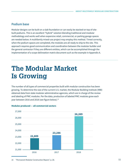### **Podium base**

Modular designs can be built on a slab foundation or can easily be stacked on top of sitebuilt podiums. This is an excellent "hybrid" solution blending traditional and modular methodology and works well when expansive retail, commercial, or parking garage spaces are needed below. A multifamily mixed-use project may employ this method. Timed correctly, when the podium spaces are completed, the modules are all ready to ship to the site. This approach requires good communication and coordination between the modular builder and the general contractor if they are different entities, which can be accomplished through the implementation of a scope delineation matrix document such as the example in Appendix A.

## **The Modular Market Is Growing**

The number of all types of commercial properties built with modular construction has been growing. To determine the size of the current U.S. market, the Modular Building Institute (MBI) obtained data from state modular administrative agencies, which are in charge of the review and labeling of PMC modules. Per the data, production of labeled PMC modules grew each year between 2016 and 2018 (see figure below).<sup>15</sup>



#### **Modules produced — all commercial sectors**

<sup>15</sup> "Permanent Modular Construction Report," p. 26.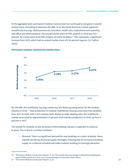At the aggregate level, permanent modular construction has continued to see gains in overall market share. According to data from the MBI, in six key North American market segments (multifamily housing, retail/commercial, education, health care, institutional and assembly, and office and administrative), the overall market share of PMC projects in 2018 was 3.67 percent, for a total value of all PMC projects of nearly \$9 billion.<sup>16</sup> This represents a significant increase from 2015, which had an overall market share of 2.43 percent (approx. \$3.7 billion value).

#### **Permanent modular construction market share**



Per the MBI, the multifamily housing market was the fastest growing sector for the modular industry in 2018.<sup>17</sup> Total production of modular multifamily housing units more than doubled from 2017 to 2018, with 2,314 modules built. Based on state-labeling data, the multifamily market accounted for approximately 8.9 percent of all industry production in 2018, up from 5 percent in 2017.

The market for modular across all sectors of the building industry is expected to continue to grow. This is due to a number of factors:

• Demand: There is a significant demand for new buildings on a short schedule. Many markets are facing structural supply shortages, meaning that an increase in building supply on a reduced schedule will make modular building increasingly attractive.

<sup>16</sup> "Permanent Modular Construction Report," p. 36. (The market share percentage is derived from dividing the value of PMN projects by a three-year moving average of construction starts value.)

<sup>17 &</sup>quot;Permanent Modular Construction Report," p. 16.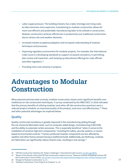- Labor supply pressure: The building industry has a labor shortage and rising costs. As labor becomes more expensive, transitioning to modular construction allows for more cost efficient and predictable manufacturing labor to be utilized in construction. Modular construction achieves efficiencies in productivity over traditional construction due to various site and weather elements.
- Increased market acceptance/adoption and increased understanding of modular techniques and processes.
- Improving regulatory environment for modular projects. For example, the International Code Council is developing standards to support increased consistency in permitting, plan review and inspection, and ramping up educational offerings for code officials and other regulators.<sup>18</sup>
- Providing more cost certainty in projects.

## **Advantages to Modular Construction**

When planned and executed correctly, modular construction shows some significant benefits over traditional on-site construction techniques. A survey conducted by the NIBS OSCC in 2018 indicated that the primary benefits of utilizing modular (and other off-site construction practices) were a reduced project schedule, an improved quality of the product, and more cost effectiveness.<sup>19</sup> These and other potential advantages are explored below.

## **Quality**

Quality control and consistency is greatly improved in the manufacturing setting through the use of precise fabrication tools, such as computer-aided design, manufacturing (CAD/CAM), and the ability to automate certain processes. This is especially beneficial "when it comes to the installation of sensitive high-tech components," including fire safety, security systems, or sensorbased environmental controls.<sup>20</sup> Factory-produced modular components are less affected by weather and other factors present during a traditional build. Additionally, per McKinsey, modular pre-fabrication can significantly reduce rework costs, resulting in cost savings.<sup>21</sup>

<sup>18 &</sup>quot;Off-Site Construction Solutions for Today's Challenges," International Code Council, iccsafe.org/offsite.

<sup>19 &</sup>quot;Report of the Results of the 2018 Off-Site Construction Industry Survey," National Institute of Building Sciences Off-Site Construction Council (2018), cdn.ymaws.com/www.nibs.org/resource/resmgr/oscc/oscc-2018surveyreport.pdf.

<sup>20</sup> "Design for Modular Construction," p. 13.

<sup>21</sup> "Modular Construction: From Projects to Products," p. 18.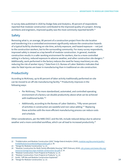In survey data published in 2020 by Dodge Data and Analytics, 90 percent of respondents reported that modular construction contributed to the improved quality of a project. Among architects and engineers, improved quality was the most commonly reported benefit.<sup>22</sup>

### **Safety**

Removing what is, on average, 80 percent of a construction project from the site location and transferring it to a controlled environment significantly reduces the construction hazards of a typical build by shortening on-site time, activity exposure, and hazard exposure — not just to the construction workers, but to the surrounding community. For many survey respondents, improved safety is viewed as a top benefit of modular construction. In general, modular construction results in a safer working environment for workers, due to a more controlled setting in a factory, reduced exposure to adverse weather, and other construction site dangers.<sup>23</sup> Additionally, work performed in the factory reduces the need for heavy machinery on-site, reducing the risk of worker injury.<sup>24</sup> Data from U.S. Bureau of Labor Statistics indicates that rates for fatal injuries are lower in manufacturing than in traditional on-site construction.

## **Productivity**

According to McKinsey, up to 80 percent of labor activity traditionally performed on-site can be moved to an off-site manufacturing facility.<sup>25</sup> Productivity improves in the following ways:

- Per McKinsey, "The more standardized, automated, and controlled operating environment of a factory can double productivity above what can be achieved with traditional builds."<sup>26</sup>
- Additionally, according to the Bureau of Labor Statistics, "Fifty-seven percent of activities in construction are wasteful and non-value adding."<sup>27</sup> Replacing these activities with the more efficient manufacturing process can reduce costs and schedule.

Other considerations, per the NIBS OSCC and the AIA, include reduced delays due to adverse weather and a more controlled workflow, which can all lead to increased productivity.<sup>28</sup>

<sup>22</sup> "Prefabrication and Modular Construction 2020," Dodge Data & Analytics (2020), modular.org/documents/public/ PrefabModularSmartMarketReport2020.pdf, p. 39.

<sup>23</sup> "Design for Modular Construction," p. 13.

<sup>24 &</sup>quot;Modular Construction for Multi-Family Affordable Housing," WSP (February 2018), cdn.ymaws.com/www.nibs.org/ resource/resmgr/oscc/epa-modular-construction-for.pdf, p. 14.

<sup>25</sup> "Modular Construction: From Projects to Products," p. 14.

<sup>26</sup> "Modular Construction: From Projects to Products," p. 14.

<sup>27</sup> Smith, "Off-Site and Modular Construction Explained."

<sup>28 &</sup>quot;Design for Modular Construction," p. 13.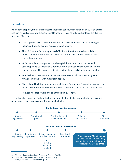### **Schedule**

When done properly, modular products can reduce a construction schedule by 20 to 50 percent and can "reliably accelerate projects," per McKinsey.<sup>29</sup> These schedule advantages are due to a number of factors:

- A more predictable schedule. For example, constructing much of the building in a factory setting significantly reduces weather delays.
- The off-site manufacturing process is "far faster than the equivalent building process on-site."<sup>30</sup> This is due in part to the factory environment and increasing levels of automation.
- While the building components are being fabricated at a plant, the site work is also happening, so that what is normally a traditional linear sequence becomes a concurrent one. This has a significant effect on the overall development timeline.
- Supply chain issues are reduced, as manufacturers may have achieved greater network efficiencies with material suppliers.
- Materials and building components are delivered "just in time," according to when they are needed at the building site.<sup>31</sup> This reduces the time spent on on-site construction.
- Reduced need for rework and enhanced quality control.

The below chart from the Modular Building Institute highlights the potential schedule savings of modular construction over traditional on-site builds.



<sup>29 &</sup>quot;Modular Construction: From Projects to Products," p. 10.

<sup>30</sup> "Modular Construction: From Projects to Products," p. 11.

<sup>31</sup> "Design for Modular Construction," p. 14.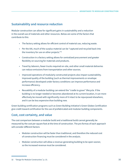## **Sustainability and resource reduction**

Modular construction can allow for significant gains in sustainability and a reduction in the overall use of materials and other resources. Below are some of the factors that contribute to this:

- The factory setting allows for efficient control of material use, reducing waste.
- Per the AIA, much of the surplus material can be "captured and recycled back into the inventory for use on other projects."<sup>32</sup>
- Construction in a factory setting allows for centralized procurement and greater flexibility on sourcing for materials and products.
- Travel by laborers, fewer trucks required on-site, and other small material deliveries can reduce emissions from transportation and other sources.
- Improved operations of modularly constructed projects also impact sustainability. Improved quality of the building (such as thermal improvements or envelope performance) developed under factory conditions can improve performance and increase efficiency.
- Reusability of a modular building can extend the "cradle to grave" lifecycle. If the building is no longer needed or becomes abandoned at its current location, it can more effectively be moved with significantly more of it intact to be repurposed elsewhere, and it can be less expensive than building new.

Green building certification programs such as Green Building Initiative's Green Globes Certification give credit toward certification for the use of prefabricated and modular building components.

## **Cost, cost certainty, and value**

The cost comparison between a modular build and a traditional build cannot generally be measured by the cost per square foot at the time of construction. The pro formas of each approach will consider different factors:

- Modular construction will be faster than traditional, and therefore the reduced cost of construction financing must be considered in the analysis.
- Modular construction will allow a revenue-generating building to be open sooner, so the increased revenue must be considered.

<sup>32</sup> "Design for Modular Construction," p. 15.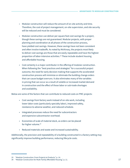- Modular construction will reduce the amount of on-site activity and time. Therefore, the cost of project management, on-site supervision, and site security will be reduced and must be considered.
- Modular construction can deliver per square foot cost savings for a project, though these savings are not guaranteed. Modular projects, with proper planning and coordination at all phases of the construction process, have yielded cost savings. However, these savings have not been consistent and often involve tradeoffs. As noted by McKinsey, the projects most likely to deliver cost savings are those that are easily repeatable and have the highest proportion of labor-intensive activities.<sup>33</sup> These include student housing and affordable housing.
- Cost certainty is a major contributor in the offering of modular construction. When following the "best practices and strategies" for a successful project outcome, the need for early decision making that supports the accelerated construction process will minimize or eliminate the building change orders that can cause budget overruns. It also eliminates many of the variables in pricing that can occur as a result of volatile or increased market demand in construction and the effect of those labor or sub-trade shortages and availability.

Below are some of the factors that can contribute to reduced costs on PMC projects:

- Cost savings from factory work instead of on-site work, including lower labor costs (particularly specialty labor), improved safety, resistance to adverse weather, and reduced schedule.
- Integrated processes reduce the need for subcontractors and expensive subcontractor overhead.
- Economies of scale of material stock, as orders can be placed for higher volume.<sup>34</sup>
- Reduced materials and waste and increased sustainability.

Additionally, the precision and repeatability of a building constructed in a factory setting may significantly improve building performance, reducing lifecycle costs.

<sup>33</sup> "Modular Construction: From Projects to Products," p. 14.

<sup>34 &</sup>quot;Modular Construction for Multi-Family Affordable Housing," p. 11.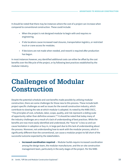It should be noted that there may be instances where the cost of a project can increase when compared to conventional construction. These could include:

- When the project is not designed modular to begin with and requires reengineering.
- If site locations cause increased road closures, transportation logistics, or restricted truck or crane access for modules.
- If decisions are not made when needed, and rework is required after production has begun.

In most instances however, any identified additional costs can either be offset by the cost benefits over the lifecycle of the project, or by following best practices established by the modular industry.

## **Challenges of Modular Construction**

Despite the potential schedule and cost benefits made possible by utilizing modular construction, there are some challenges for those new to this process. These include both project-specific challenges as well as issues for the overall construction industry, which contribute to slowing the rate at which modular is adopted. As noted by the NIBS OSCC, "The principles of cost, schedule, labor, scope, quality, and risk represent a sliding scale of opportunity rather than definitive answers."<sup>35</sup> It should be noted that today many of the industry challenges are a result of a lack of understanding of best practices. While the benefits are now more easily identified and understood, the "how-to" is less so and can cause hesitation in adoption or buy-in, in large part due to this lack of understanding about the process. Moreover, not understanding how to work with the modular process, which is significantly different than the conventional, can cause a modular project to fall short of the successful outcome expected by the stakeholders.

• **Increased coordination required** — Modular builds require increased coordination among the design team, the modular manufacturer, and the on-site construction management team, particularly in the early stages of the project. Per the NIBS

<sup>35</sup> Smith, "Off-Site and Modular Construction Explained."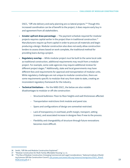OSCC, "Off-site delivery and early planning are co-lateral projects."<sup>36</sup> Though this increased coordination can be of benefit to the project, it does require early buy in and agreement from all stakeholders.

- **Greater upfront draw percentage**  The payment schedule required for modular projects requires capital earlier in the project than in traditional construction. $37$ Manufacturers require up front capital in order to procure all materials and begin producing a design. Modular construction also does not easily allow construction lenders to assess draws based on work complete, the traditional method for providing loans during a project.
- **Regulatory overlap** While modular project *must* be built to the same local code as traditional construction, additional requirements may result from a modular project. For example, some code agencies may require additional reviews for different project stages.<sup>38</sup> Additionally, state and local governments may have different fees and requirements for approval and transportation of modular units. While regulatory challenges are not unique to modular construction, there are some requirements specific to modular that vary from state to state, creating an inconsistent regulatory framework for the industry.
- **Technical limitations** Per the NIBS OSCC, the below are also notable disadvantages to modular or off-site construction:
	- › Structural bulkiness: Floor-to-floor heights and wall thicknesses affected.
	- $\rightarrow$  Transportation restrictions limit module and panel size.
	- $\rightarrow$  Spans and configurations of design are somewhat restricted.
	- › Lack of transparency in overhead, profit margin, transport, setting (cranes), and associated increase in designer fees if new to the process.
	- $\rightarrow$  Flexibility and changeability of structure through future renovations becomes more difficult.

<sup>36</sup> Smith, "Off-Site and Modular Construction Explained."

<sup>37 &</sup>quot;Modular Construction for Multi-Family Affordable Housing," p. 11.

<sup>38 &</sup>quot;The Rise of Modular Construction: Emerging Commercial and Legal Considerations," National Institute of Building Sciences Off-Site Construction Council, cdn.ymaws.com/www.nibs.org/resource/resmgr/oscc/OSCC\_Riseof-ModConstr.pdf, p. 1.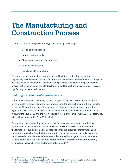## **The Manufacturing and Construction Process**

Traditional construction projects are typically made up of five steps:

- Design and engineering.
- Permits and approvals.
- Site developments and foundations.
- Building construction.
- Install and site restoration.

Typically, site development and foundations and building construction are performed sequentially — site development and foundations must be completed before the building can be constructed on-site. Modular techniques and processes allow for building construction to occur at the factory while the site development and foundations are completed. This can significantly reduce schedule time.

## **Building construction/manufacturing**

During the design phase, generally, the agreed-upon design will seek to maximize the size of the modules in order to limit the total amount to be fabricated, transported, and installed at the site. The maximum size of the modules will depend on applicable transportations regulations, which vary across states and localities and also include federal transportation rules. Per the NIBS OSCC and the AIA, "Modules typically measure between 12- to 14-feet wide, 50- to 60-feet long, and 11.5- to 13-feet high."<sup>39</sup>

Formulating and constructing the building in a factory environment are controlled by a production manager within a flow of processes and subprocesses. Often automated, the formation of building components requires enhanced utilization of information and communication technology, building information modeling, computer-aided design, and computer-aided manufacture. Off-site assemblies should be designed for manufacture and assembly utilizing "a series of standard component parts accessed from a product family architecture that can be mass-customized utilizing CAD."<sup>40</sup>

<sup>39 &</sup>quot;Design for Modular Construction," p. 34.

<sup>40</sup> Robert Hairstans, et al., "Building Offsite: An Introduction," UK Commission for Employment and Skills, cs-ic.org/media/1291/building\_offsite\_an\_introductioncompressed.pdf, p. 12.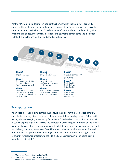Per the AIA, "Unlike traditional on-site contruction, in which the building is generally completed from the outside in, prefabricated volumetric building modules are typically constructed from the inside out."<sup>41</sup> The box frame of the module is completed first, with interior finish added, mechancial, electrical, and plumbing components and insulation installed, and exterior sheathing and cladding added last.

3

4

#### **Phase 0** general

0

material assembly

#### **Phase 1**

floor framing and decking int./ext. wall framing "box" mounted to chassis

#### **Phase 2**

roof framing/mounting ceiling attached to "box" interior partition installation rough plumbing

**Phase 3** sheetrock (walls) rough electrical (walls)

#### **Phase 4**

2

1

sheetrock (ceiling) batt/spray foam insulation rough electrical

#### **Phase 5**

exterior plywood sheathing rough opening cleanup general interior cleanup

**Phase 6** exterior plastic sheathing interior finish work (paint, trim)

5

6

7

8

#### **Phase 7** finish plumbing finish electrical install flooring

**Phase 8** install windows install siding weatherproof

## **Transportation**

When possible, the building team should ensure that "delivery timetables are carefully coordinated and adjusted according to the progress of the assembly process," along with having adequate staging areas set up for delivery.<sup>42</sup> The level of coordination required will of course depend in part on the size and complexity of the project. Additionally, the project team must ensure that it is in compliance with all state and local codes regarding transport and delivery, including associated fees. This is particularly true where construction and prefabrication are performed in differing localities or states. Per the NIBS, a "good rule of thumb" for distance of factory to the site is 500 miles maximum for shipping from a manufacturer to a job.<sup>43</sup>

<sup>41 &</sup>quot;Design for Modular Construction," p. 12.

<sup>42 &</sup>quot;Design for Modular Construction," p. 36.

<sup>43</sup> Smith, "Off-Site and Modular Construction Explained."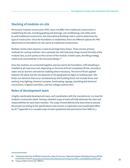## **Stacking of modules on-site**

Permanent modular construction (PMC) does not differ from traditional construction in establishing the site, including grading and drainage, soil conditioning, and utility work. As with traditional construction, the International Building Code is used to determine the type of construction. Once the foundation is established, there are different options for PMC attachments to foundation on-site (same as traditional construction).

Modular construction requires a crane to set large heavy boxes. There are two primary methods for craning modules: Use a spreader bar with belt strap slings around the belly of the modular box, or pick points on the corners of the module. In both cases, the lifting strategy needs to be accounted for in the structural design.<sup>44</sup>

Once the modules are connected together and secured to the foundation, infill sheathing is installed at all mate lines and, depending on the level of finish completed off-site, secondary water and air barriers and exterior cladding where necessary. The level of finish applied between the plant and the site depends on the geographical region or building type. Site finish-out elements that occur simultaneously with building finish-out include drives and parking, area lighting, entrance canopies, landscaping, signage, plumbing and electrical connections, irrigation sprinklers, and low-voltage systems tests.

## **Roles of development team**

A highly coordinated development team, and coordination with the manufacturer, is a must for modular construction deals. Having a detailed scope of work will help delineate the roles and responsibilities for each team member. The scope of work defines who does what to execute the project according to the specifications and ensures a cooperative and coordinated effort by all.<sup>45</sup> Appendix A is a sample scope of work (published with permission from NRB Inc.).

<sup>44 &</sup>quot;Getting the Most Out of Off-Site Construction: Steps for Success," National Institute of Building Sciences Off-Site Construction Council, cdn.ymaws.com/www.nibs.org/resource/resmgr/oscc/OSCC\_GettingMostoutofOSC.pdf.

<sup>45 &</sup>quot;Scope of Work Check List," NRB Inc.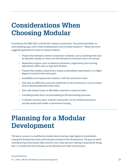## **Considerations When Choosing Modular**

According to the NIBS OSCC and the AIA, modular construction "has performed better on some building types, with certain building teams and in certain locations."<sup>46</sup> Below are some suggested guidelines for when to choose modular:

- Projects that demand a shorter construction schedule, such as buildings that must be operation quality, or retail units that demand an increased return on revenue.
- Repetitious projects, such as identical classrooms, single-family tract housing, laboratories, office units, or high-tech facilities.
- Projects that employ unique forms, unique sustainability requirements, or a higher degree of control in the end project.
- Availability of an experienced modular or off-site construction team.
- Sites that are difficult to access for traditional on-site construction, such as remote sites or densely populated urban areas.
- Sites with limited access to affordable materials or expensive labor.
- A building locality that is accommodating of off-site building processes.
- In disaster recovery areas, modular construction can be mobilized quickly to provide people with shelter or permanent housing.

## **Planning for a Modular Development**

The key to success in a multifamily modular deal is having a high degree of coordination among the development team and everyone involved in the development. The pace at which manufacturing moves leaves little room for error. Early decision-making is essential for things that, in a traditional site-built deal, can be decided much later in the process.

<sup>46</sup> Smith, "Off-Site and Modular Construction Explained."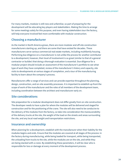For many markets, modular is still new and unfamiliar, so part of preparing for the development will be educating key players and stakeholders. Making the time to arrange for some meetings solely for this purpose, and even having stakeholders tour the factory, will help everyone involved feel more comfortable with modular construction.

## **Choosing a manufacturer**

As the market in North America grows, there are more modular and off-site construction manufacturers starting up, and there are some that have existed for decades. These manufacturers serve various commercial real estate markets, including multifamily housing. Performing due diligence on a manufacturer is not unlike the process for another contributor to a development; however, their level of involvement is so great (similar to that of a general contractor or builder) that doing a thorough evaluation is essential. Due diligence for a modular project should include an assessment of the manufacturer's portfolio to see what type of work they have completed, review of the manufacturer's history and capacity, site visits to developments at various stages of completion, and a tour of the manufacturing facility to learn about the company's process.

Manufacturers offer a range of services and can provide expertise throughout the planning, design, construction, and on-site assembly processes. It is important to establish up front the scope of work of the manufacturer and the roles of all members of the development team, including coordination between the architect and manufacturer early on.

## **Site considerations**

Site preparation for a modular development does not differ greatly from on-site construction. The developer needs to have a plan for where the modules will be delivered and staged for construction and for the positioning of the crane. The site will also need to be conducive to the delivery of the modules from the factory, so take into consideration the maneuverability of the delivery trucks at the site, the weight of the load on the streets and areas surrounding the site, and any local road weight and transportation restrictions.

### **Insurance and ownership**

When planning for a development, establish with the manufacturer when their liability for the modules begins and ends. Ensure that the modules are covered at all stages of the process: in the factory during manufacturing, while being loaded for transport, while being transported, the unloading from trucks to the site, while the modules are on the site, and while they are being stacked with a crane. By establishing these parameters, it will be clear who is responsible for loss or damage at every moment of the development process.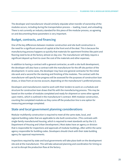The developer and manufacturer should similarly stipulate when transfer of ownership of the modules occurs, including during the transportation process — loading, travel, and unloading. There is not currently an industry standard for this piece of the modular process, so agreeing on and documenting these parameters is very important.

## **Budget, contracts, and financing**

One of the key differences between modular construction and site-built construction is the need for a significant amount of capital at the front end of the deal. This is because the manufacturing process happens so quickly that materials for apartment finishes like paint and flooring need to be at the factory almost on day one. The manufacturer will likely require a significant deposit up front to cover the cost of the materials and other expenses.

In addition to having a contract with a general contractor, as with a site-built development, the developer will also have a contract with the manufacturer for the off-site portion of the development. In some cases, the developer may have one general contractor for the initial site work and a second for the stacking and finishing of the modules. The contract with the manufacturer will specify how progress will be assessed for the purposes of construction loan draws, or draw from an escrow account, depending on the manufacturer's preferred process.

Developers and manufacturers need to work with their lenders to work on a schedule and structure for construction loan draws that fits with the manufacturing process. This may be based on the number of modules completed and ready for shipment or some other agreed upon metric, which is outlined in the manufacturer's contract. With modular construction, counting the completed modules as they come off the production line is one option for measuring percentage completed.

## **State and local government planning considerations**

Modular multifamily construction is required to meet all the same state, local, and regional building codes that are applicable to site-built construction. (This contrasts with single-family manufactured housing, which is required to meet standards set by the U.S. Department of Housing and Urban Development.) Most states have an agency or division that is responsible for inspections and approvals of modular buildings, often within the same agency responsible for building codes. Developers should check with their state building agency for approval requirements.

Inspections required by state and local governments will take place both on the development site and at the manufacturer. This will take advanced planning and coordination for timing so as not to disrupt the production flow at the factory.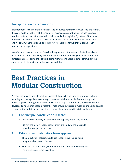## **Transportation considerations**

It is important to consider the distance of the manufacturer from your work site and identify the exact route for delivery of the modules. This means accounting for tunnels, bridges, weather that may cause transportation delays, and other logistics. By nature of the process, the size of the modules is limited to what can fit on a truck, both in terms of dimensions and weight. During the planning process, review the route for weight limits and other transportation regulations.

Manufacturers vary in the level of service they provide, but many coordinate the delivery of the modules from the factory to the work site. This means having the manufacturer and general contractor doing the site work being highly coordinated in terms of timing of the completion of site work and delivery of the modules.

## **Best Practices in Modular Construction**

Perhaps the most critical element to a successful project is an early commitment to both planning and taking all necessary steps to ensure collaboration, decision-making, and project approach are agreed to at the outset of the project. Additionally, the NIBS OSCC has developed a number of best practices that help ensure a successful modular project and assist in overcoming traditional barriers. A selection of these best practices is listed below:<sup>47</sup>

### **1. Conduct pre-construction research.**

- Research the industry for capability and capacity of the PMC factory.
- Identify the factory locations that are in proximity to the job site to minimize transportation costs.

### **2. Establish a collaborative team approach.**

- The project stakeholders should use collaborative thinking and integrated design coordination.
- Effective communication, coordination, and cooperation throughout the project process are essential.

<sup>47 &</sup>quot;Getting the Most Out of Off-Site Construction: Steps for Success."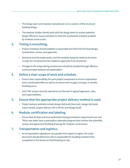- The design team and modular manufacturer are co-owners of the structural building design.
- The modular builder should work with the design team to resolve potential design efficiency issues and plans to meet the accelerated schedule enabled by modular construction.

### **3. Timing is everything.**

- Project schedules should establish a reasonable but finite time for final design, coordination, review, and approvals.
- Decisions *must* be made earlier, and the modular footprint needs to be frozen in order for turnaround times related to approvals to be shortened.
- Changes to the scope during construction should be avoided through effective communication between all stakeholders.

### **4. Define a clear scope of work and schedule.**

- Ensure clear responsibility for each project component to ensure cooperation and a coordinated effort as well as to ensure that no gaps, overlaps, or double handling occur.
- Each PMC project must be tailored to suit the team's agreed approach, roles, and responsibilities.

## **5. Ensure that the appropriate project delivery method is used.**

• Project delivery methods include design-bid-build (low cost), design-bid-build (value-based), project delivery CM or EPCM, and design-build.

### **6. Modular certification and labeling.**

• Ensure that all state and local authorities having jurisdiction requirements are met. Thirty-one states have a preemptive statewide program that involves the submittal, review, and approval of building drawings for modular construction.

## **7. Transportation and logistics.**

• As transportation regulations vary greatly from region to region, the scope document should determine who is responsible for handling modules from completion in the factory to final finishing on-site.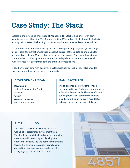## **Case Study: The Stack**

Located in the Inwood neighborhood of Manhattan, The Stack is a 28-unit, seven-story high-rise apartment building. The Stack was built in 2014 and was the first modular high-rise building in its market. The building comprises 56 volumetric steel and concrete modules.

The Stack benefits from New York City's 421a Tax Exemption program, which, in exchange for a property tax exemption, requires at least 20 percent of the units to be affordable for households at or below 60 percent of the area's median income. Permanent financing for The Stack was provided by Fannie Mae, and the deal qualified for Fannie Mae's Special Public Purpose (SPP) program due to the affordability restrictions.

In addition to providing high-quality homes for its residents, The Stack has also provided space to support Inwood's active arts community.

### **DEVELOPMENT TEAM**

**Developers:**  Jeffrey Brown and Kim Frank **Architect:**  Gluck+ **General contractor:**  Locust Construction

### **MANUFACTURER**

The off-site manufacturing of the modules was done by Deluxe Modular, a company based in Berwick, Pennsylvania. They manufacture buildings for various commercial markets, including multifamily housing, hospitality, military housing, and school buildings.

### **KEY TO SUCCESS**

The key to success in developing The Stack was a highly coordinated development team. The developers, architect, and general contractor were involved in every stage of development, both on the building site and at the manufacturing facility. The entire process was extremely handson, and the developers/owners ended up with a very high-quality building as a result.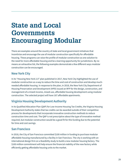## **State and Local Governments Encouraging Modular**

There are examples around the country of state and local government initiatives that incentivize and encourage the use of modular construction specifically for affordable housing. These programs can raise the profile of modular construction as one solution to the need for more affordable housing and be a learning opportunity for jurisdictions. By no means an exhaustive list, the following examples demonstrate a few different ways modular construction can be encouraged.

## **New York City**

In its "Housing New York 2.0" plan published in 2017, New York City highlighted the use of modular construction as a way to reduce the time and cost of construction and develop muchneeded affordable housing. In response to the plan, in 2018, the New York City Department of Housing Preservation and Development (HPD) issued an RFP for the design, construction, and management of a mixed-income, mixed-use, affordable housing development using modular construction. The selected project will have 167 affordable apartments.

## **Virginia Housing Development Authority**

In its Qualified Allocation Plan (QAP) for Low-Income Housing Tax Credits, the Virginia Housing Development Authority states that tax credits can be awarded outside of their competitive process for developments that incorporate innovative construction methods to reduce construction time and cost. The QAP is not prescriptive about the type of innovative method required, but modular construction would be a good fit for this funding due to the potential for time and cost savings.

## **San Francisco**

In 2018, the City of San Francisco committed \$100 million in funding to purchase modular affordable housing manufactured by a facility in San Francisco. The city is working with an international design firm on a feasibility study to build a new modular housing factory. The \$100 million commitment will help ensure the financial viability of the new factory while efficiently getting affordable housing units to the market.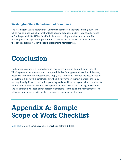## **Washington State Department of Commerce**

The Washington State Department of Commerce administers the state Housing Trust Fund, which makes funds available for affordable housing products. In 2019, they issued a Notice of Funding Availability (NOFA) for affordable projects using modular construction. The Washington State Legislature appropriated \$10 million for this NOFA. The units funded through this process will serve people experiencing homelessness.

## **Conclusion**

Modular construction is an innovative and growing technique in the multifamily market. With its potential to reduce cost and time, modular is a fitting potential solution of the many needed to tackle the affordable housing supply crisis in the U.S. Although the possibilities of modular are exciting, this construction method is still very new to most markets in the U.S., and requires significant coordination, planning, and due diligence beyond what is required for a traditional on-site construction development. As the market grows, housing practitioners and stakeholders will need to stay abreast of emerging technologies and market trends. The following appendices provide further resources on modular construction.

## **Appendix A: Sample Scope of Work Checklist**

Click here to view a sample scope of work checklist from NRB Inc.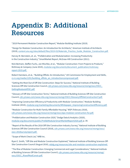## **Appendix B: Additional Resources**

"2019 Permanent Modular Construction Report," Modular Building Institute (2019).

"Design for Modular Construction: An Introduction for Architects," American Institute of Architects (2019), content.aia.org/sites/default/files/2019-03/Materials\_Practice\_Guide\_Modular\_Construction.pdf.

Harvey M. Bernstein, et. al., "Prefabrication and Modularization: Increasing Productivity in the Construction Industry," SmartMarket Report, McGraw-Hill Construction (2011).

Nick Bertram, Steffen Fuchs, Jan Mischke, et al., "Modular Construction: From Projects to Products," McKinsey & Company (June 2019), modular.org/documents/document\_publication/mckinseyreport-2019.pdf.

Robert Hairstans, et al., "Building Offsite: An Introduction," UK Commission for Employment and Skills, cs-ic.org/media/1291/building\_offsite\_an\_introductioncompressed.pdf.

"Getting the Most Out of Off-Site Construction: Steps for Success," National Institute of Building Sciences Off-Site Construction Council, cdn.ymaws.com/www.nibs.org/resource/resmgr/oscc/OSCC\_ GettingMostoutofOSC.pdf.

"Glossary of Off-Site Construction Terms," National Institute of Building Sciences Off-Site Construction Council, cdn.ymaws.com/www.nibs.org/resource/resmgr/OSCC/GlossaryOffSiteConstructionT.pdf.

"Improving Construction Efficiency & Productivity with Modular Construction," Modular Building Institute (2010), modular.org/marketing/documents/Whitepaper\_ImprovingConstructionEfficiency.pdf.

"Modular Construction for Multi-Family Affordable Housing," WSP (February 2018), cdn.ymaws.com/www.nibs.org/resource/resmgr/oscc/epa-modular-construction-for.pdf.

"Prefabrication and Modular Construction 2020," Dodge Data & Analytics (2020), modular.org/documents/public/PrefabModularSmartMarketReport2020.pdf, p. 39.

"Report of the Results of the 2018 Off-Site Construction Industry Survey," National Institute of Building Sciences Off-Site Construction Council (2018), cdn.ymaws.com/www.nibs.org/resource/resmgr/oscc/ oscc-2018surveyreport.pdf.

"Scope of Work Check List," NRB Inc.

Ryan E. Smith, "Off-Site and Modular Construction Explained," National Institute of Building Sciences Off-Site Construction Council (August 2016), wbdg.org/resources/site-and-modular-construction-explained.

"The Rise of Modular Construction: Emerging Commercial and Legal Considerations," National Institute of Building Sciences Off-Site Construction Council, cdn.ymaws.com/www.nibs.org/resource/resmgr/ oscc/OSCC\_RiseofModConstr.pdf.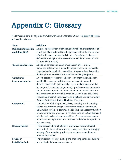## **Appendix C: Glossary**

(All terms and definitions pulled from NIBS Off-Site Construction Council Glossary of Terms, unless otherwise noted.)

| <b>Term</b>                                   | <b>Definition</b>                                                                                                                                                                                                                                                                                                                                                                                                                                                                                                                                                |
|-----------------------------------------------|------------------------------------------------------------------------------------------------------------------------------------------------------------------------------------------------------------------------------------------------------------------------------------------------------------------------------------------------------------------------------------------------------------------------------------------------------------------------------------------------------------------------------------------------------------------|
| <b>Building information</b><br>modeling (BIM) | A digital representation of physical and functional characteristics of<br>a facility. A BIM is a shared knowledge resource for information about<br>a facility, forming a reliable basis for decisions during its life cycle;<br>defined as existing from earliest conception to demolition. (Source:<br>National BIM Standard)                                                                                                                                                                                                                                  |
| <b>Closed construction</b>                    | A building, component, assembly, subassembly, or system<br>manufactured in such a manner that all portions cannot be readily<br>inspected at the installation site without disassembly or destruction<br>thereof. (Source: Louisiana Industrialized Buildings Program)                                                                                                                                                                                                                                                                                           |
| <b>Compliance</b><br>insurance industry       | An architect or professional engineer, or an organization, specially<br>qualified by reason of facilities, personnel, experience, and<br>demonstrated reliability to investigate, test, and evaluate modular<br>buildings; to list such buildings complying with standards; to provide<br>adequate follow-up services at the point of manufacture to ensure<br>that production units are in full compliance; and to provide a label<br>as evidence of compliance on each manufactured section or module.<br>(Source: Virginia Industrialized Buildings Program). |
| <b>Component</b>                              | Uniquely identifiable input, part, piece, assembly or subassembly,<br>system or subsystem, that (1) is required to complete or finish an<br>activity, item, or job, (2) performs a distinctive and necessary function<br>in the operation of a system, or (3) is intended to be included as a part<br>of a finished, packaged, and labeled item. Components are usually<br>removable in one piece and are considered indivisible for a particular<br>purpose or use.                                                                                             |
| <b>Deconstruction</b>                         | The process of taking a building or structure, or portion thereof,<br>apart with the intent of repurposing, reusing, recycling, or salvaging<br>as many of the materials, products, components, assemblies, or<br>modules as possible.                                                                                                                                                                                                                                                                                                                           |
| Erection/<br>installation/set                 | The process of blocking, leveling, and anchoring a modular building<br>unit on the building site upon delivery.                                                                                                                                                                                                                                                                                                                                                                                                                                                  |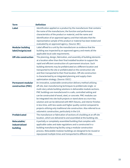| <b>Term</b>                                    | <b>Definition</b>                                                                                                                                                                                                                                                                                                                                                                                                                                                                                                                                                                                                                                                                                                   |
|------------------------------------------------|---------------------------------------------------------------------------------------------------------------------------------------------------------------------------------------------------------------------------------------------------------------------------------------------------------------------------------------------------------------------------------------------------------------------------------------------------------------------------------------------------------------------------------------------------------------------------------------------------------------------------------------------------------------------------------------------------------------------|
| <b>Label</b>                                   | Identification applied on a product by the manufacturer that contains<br>the name of the manufacturer, the function and performance<br>characteristics of the product or material, and the name and<br>identification of an approved agency and that indicates that the<br>representative sample of the product or material has been tested and<br>evaluated by an approved agency. (Source: IBC)                                                                                                                                                                                                                                                                                                                   |
| <b>Modular building</b><br>label/insignia/seal | Label affixed to a unit by the manufacturer as evidence that the<br>building was inspected by an approved agency and meets all the<br>applicable local code requirements.                                                                                                                                                                                                                                                                                                                                                                                                                                                                                                                                           |
| <b>Off-site construction</b>                   | The planning, design, fabrication, and assembly of building elements<br>at a location other than their final installed location to support the<br>rapid and efficient construction of a permanent structure. Such<br>building elements may be prefabricated at a different location and<br>transported to the site or prefabricated on the construction site<br>and then transported to their final location. Off-site construction<br>is characterized by an integrated planning and supply chain<br>optimization strategy. (Source: OSCC)                                                                                                                                                                         |
| <b>Permanent modular</b><br>construction (PMC) | An innovative, sustainable construction delivery method utilizing<br>off-site, lean manufacturing techniques to prefabricate single- or<br>multi-story whole building solutions in deliverable module sections.<br>PMC buildings are manufactured in a safe, controlled setting and<br>can be constructed of wood, steel, or concrete. PMC modules can<br>be integrated into site-built projects or stand alone as a turn-key<br>solution and can be delivered with MEP, fixtures, and interior finishes<br>in less time, with less waste and higher quality control compared to<br>projects utilizing only traditional site construction. Also referred to as<br>volumetric construction, particularly in the U.K. |
| <b>Prefabricated</b>                           | The manufacture or fabrication of sections of a building at an off-site<br>location, which are delivered to and assembled at the building site.                                                                                                                                                                                                                                                                                                                                                                                                                                                                                                                                                                     |
| Relocatable/<br>industrialized<br>building     | A partially or completely assembled building that complies with<br>applicable codes and state regulations and is constructed in a<br>building manufacturing facility using a modular construction<br>process. Relocatable modular buildings are designed to be reused or<br>repurposed multiple times and transported to different sites.                                                                                                                                                                                                                                                                                                                                                                           |